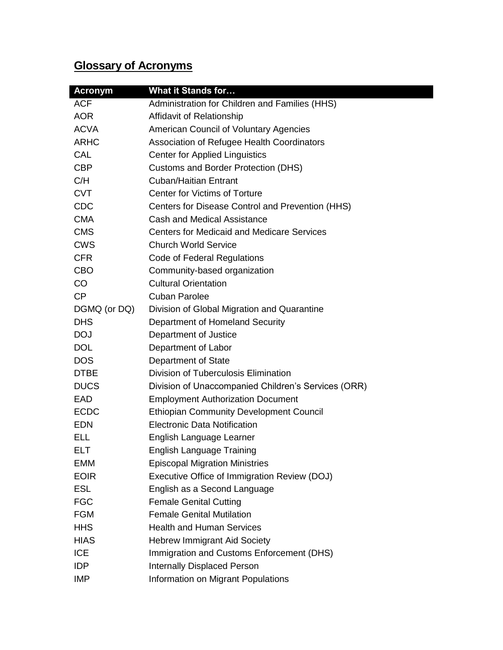# **Glossary of Acronyms**

| <b>Acronym</b> | <b>What it Stands for</b>                           |
|----------------|-----------------------------------------------------|
| <b>ACF</b>     | Administration for Children and Families (HHS)      |
| <b>AOR</b>     | Affidavit of Relationship                           |
| <b>ACVA</b>    | American Council of Voluntary Agencies              |
| <b>ARHC</b>    | Association of Refugee Health Coordinators          |
| CAL            | <b>Center for Applied Linguistics</b>               |
| <b>CBP</b>     | <b>Customs and Border Protection (DHS)</b>          |
| C/H            | <b>Cuban/Haitian Entrant</b>                        |
| <b>CVT</b>     | <b>Center for Victims of Torture</b>                |
| <b>CDC</b>     | Centers for Disease Control and Prevention (HHS)    |
| <b>CMA</b>     | Cash and Medical Assistance                         |
| <b>CMS</b>     | <b>Centers for Medicaid and Medicare Services</b>   |
| <b>CWS</b>     | <b>Church World Service</b>                         |
| <b>CFR</b>     | Code of Federal Regulations                         |
| <b>CBO</b>     | Community-based organization                        |
| CO             | <b>Cultural Orientation</b>                         |
| CP             | <b>Cuban Parolee</b>                                |
| DGMQ (or DQ)   | Division of Global Migration and Quarantine         |
| <b>DHS</b>     | Department of Homeland Security                     |
| <b>DOJ</b>     | Department of Justice                               |
| <b>DOL</b>     | Department of Labor                                 |
| <b>DOS</b>     | Department of State                                 |
| <b>DTBE</b>    | Division of Tuberculosis Elimination                |
| <b>DUCS</b>    | Division of Unaccompanied Children's Services (ORR) |
| EAD            | <b>Employment Authorization Document</b>            |
| <b>ECDC</b>    | <b>Ethiopian Community Development Council</b>      |
| <b>EDN</b>     | <b>Electronic Data Notification</b>                 |
| ELL            | English Language Learner                            |
| ELT.           | <b>English Language Training</b>                    |
| EMM            | <b>Episcopal Migration Ministries</b>               |
| <b>EOIR</b>    | Executive Office of Immigration Review (DOJ)        |
| <b>ESL</b>     | English as a Second Language                        |
| <b>FGC</b>     | <b>Female Genital Cutting</b>                       |
| <b>FGM</b>     | <b>Female Genital Mutilation</b>                    |
| <b>HHS</b>     | <b>Health and Human Services</b>                    |
| <b>HIAS</b>    | <b>Hebrew Immigrant Aid Society</b>                 |
| <b>ICE</b>     | Immigration and Customs Enforcement (DHS)           |
| <b>IDP</b>     | <b>Internally Displaced Person</b>                  |
| <b>IMP</b>     | Information on Migrant Populations                  |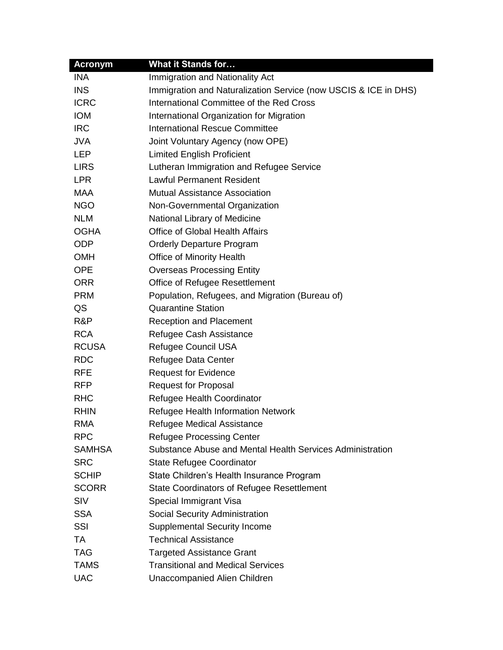| <b>Acronym</b> | <b>What it Stands for</b>                                       |
|----------------|-----------------------------------------------------------------|
| <b>INA</b>     | Immigration and Nationality Act                                 |
| <b>INS</b>     | Immigration and Naturalization Service (now USCIS & ICE in DHS) |
| <b>ICRC</b>    | International Committee of the Red Cross                        |
| <b>IOM</b>     | International Organization for Migration                        |
| <b>IRC</b>     | <b>International Rescue Committee</b>                           |
| <b>JVA</b>     | Joint Voluntary Agency (now OPE)                                |
| <b>LEP</b>     | <b>Limited English Proficient</b>                               |
| <b>LIRS</b>    | Lutheran Immigration and Refugee Service                        |
| <b>LPR</b>     | <b>Lawful Permanent Resident</b>                                |
| <b>MAA</b>     | <b>Mutual Assistance Association</b>                            |
| <b>NGO</b>     | Non-Governmental Organization                                   |
| <b>NLM</b>     | National Library of Medicine                                    |
| <b>OGHA</b>    | <b>Office of Global Health Affairs</b>                          |
| <b>ODP</b>     | <b>Orderly Departure Program</b>                                |
| <b>OMH</b>     | <b>Office of Minority Health</b>                                |
| <b>OPE</b>     | <b>Overseas Processing Entity</b>                               |
| <b>ORR</b>     | Office of Refugee Resettlement                                  |
| <b>PRM</b>     | Population, Refugees, and Migration (Bureau of)                 |
| QS             | <b>Quarantine Station</b>                                       |
| R&P            | <b>Reception and Placement</b>                                  |
| <b>RCA</b>     | Refugee Cash Assistance                                         |
| <b>RCUSA</b>   | <b>Refugee Council USA</b>                                      |
| <b>RDC</b>     | Refugee Data Center                                             |
| <b>RFE</b>     | <b>Request for Evidence</b>                                     |
| <b>RFP</b>     | <b>Request for Proposal</b>                                     |
| <b>RHC</b>     | Refugee Health Coordinator                                      |
| <b>RHIN</b>    | Refugee Health Information Network                              |
| <b>RMA</b>     | Refugee Medical Assistance                                      |
| <b>RPC</b>     | <b>Refugee Processing Center</b>                                |
| <b>SAMHSA</b>  | Substance Abuse and Mental Health Services Administration       |
| <b>SRC</b>     | <b>State Refugee Coordinator</b>                                |
| <b>SCHIP</b>   | State Children's Health Insurance Program                       |
| <b>SCORR</b>   | <b>State Coordinators of Refugee Resettlement</b>               |
| <b>SIV</b>     | Special Immigrant Visa                                          |
| <b>SSA</b>     | Social Security Administration                                  |
| SSI            | <b>Supplemental Security Income</b>                             |
| TA             | <b>Technical Assistance</b>                                     |
| <b>TAG</b>     | <b>Targeted Assistance Grant</b>                                |
| <b>TAMS</b>    | <b>Transitional and Medical Services</b>                        |
| <b>UAC</b>     | Unaccompanied Alien Children                                    |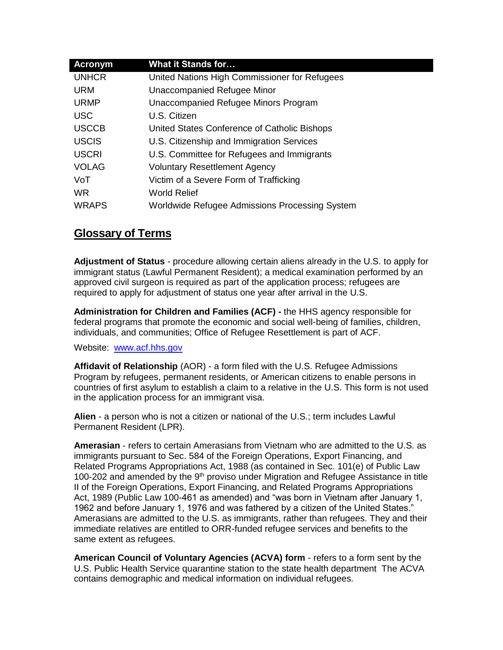| <b>Acronym</b> | <b>What it Stands for</b>                      |
|----------------|------------------------------------------------|
| <b>UNHCR</b>   | United Nations High Commissioner for Refugees  |
| <b>URM</b>     | Unaccompanied Refugee Minor                    |
| <b>URMP</b>    | Unaccompanied Refugee Minors Program           |
| USC.           | U.S. Citizen                                   |
| <b>USCCB</b>   | United States Conference of Catholic Bishops   |
| <b>USCIS</b>   | U.S. Citizenship and Immigration Services      |
| <b>USCRI</b>   | U.S. Committee for Refugees and Immigrants     |
| <b>VOLAG</b>   | <b>Voluntary Resettlement Agency</b>           |
| VoT            | Victim of a Severe Form of Trafficking         |
| <b>WR</b>      | <b>World Relief</b>                            |
| <b>WRAPS</b>   | Worldwide Refugee Admissions Processing System |

## **Glossary of Terms**

**Adjustment of Status** - procedure allowing certain aliens already in the U.S. to apply for immigrant status (Lawful Permanent Resident); a medical examination performed by an approved civil surgeon is required as part of the application process; refugees are required to apply for adjustment of status one year after arrival in the U.S.

**Administration for Children and Families (ACF) -** the HHS agency responsible for federal programs that promote the economic and social well-being of families, children, individuals, and communities; Office of Refugee Resettlement is part of ACF.

Website: [www.acf.hhs.gov](http://www.acf.hhs.gov/)

**Affidavit of Relationship** (AOR) - a form filed with the U.S. Refugee Admissions Program by refugees, permanent residents, or American citizens to enable persons in countries of first asylum to establish a claim to a relative in the U.S. This form is not used in the application process for an immigrant visa.

**Alien** - a person who is not a citizen or national of the U.S.; term includes Lawful Permanent Resident (LPR).

**Amerasian** - refers to certain Amerasians from Vietnam who are admitted to the U.S. as immigrants pursuant to Sec. 584 of the Foreign Operations, Export Financing, and Related Programs Appropriations Act, 1988 (as contained in Sec. 101(e) of Public Law 100-202 and amended by the  $9<sup>th</sup>$  proviso under Migration and Refugee Assistance in title II of the Foreign Operations, Export Financing, and Related Programs Appropriations Act, 1989 (Public Law 100-461 as amended) and "was born in Vietnam after January 1, 1962 and before January 1, 1976 and was fathered by a citizen of the United States." Amerasians are admitted to the U.S. as immigrants, rather than refugees. They and their immediate relatives are entitled to ORR-funded refugee services and benefits to the same extent as refugees.

**American Council of Voluntary Agencies (ACVA) form** - refers to a form sent by the U.S. Public Health Service quarantine station to the state health department The ACVA contains demographic and medical information on individual refugees.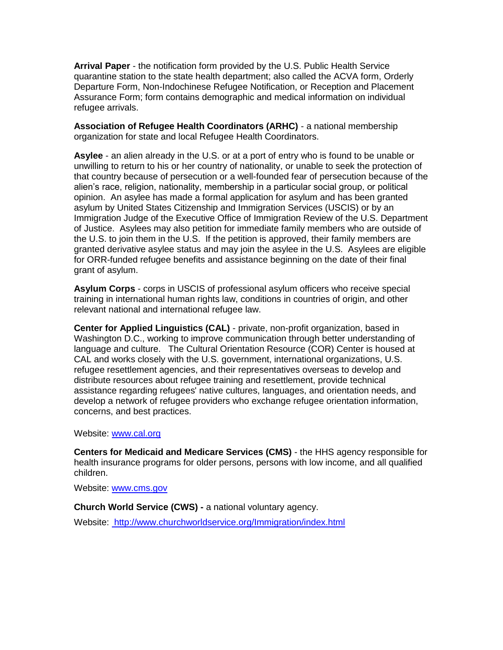**Arrival Paper** - the notification form provided by the U.S. Public Health Service quarantine station to the state health department; also called the ACVA form, Orderly Departure Form, Non-Indochinese Refugee Notification, or Reception and Placement Assurance Form; form contains demographic and medical information on individual refugee arrivals.

**Association of Refugee Health Coordinators (ARHC)** - a national membership organization for state and local Refugee Health Coordinators.

**Asylee** - an alien already in the U.S. or at a port of entry who is found to be unable or unwilling to return to his or her country of nationality, or unable to seek the protection of that country because of persecution or a well-founded fear of persecution because of the alien's race, religion, nationality, membership in a particular social group, or political opinion. An asylee has made a formal application for asylum and has been granted asylum by United States Citizenship and Immigration Services (USCIS) or by an Immigration Judge of the Executive Office of Immigration Review of the U.S. Department of Justice. Asylees may also petition for immediate family members who are outside of the U.S. to join them in the U.S. If the petition is approved, their family members are granted derivative asylee status and may join the asylee in the U.S. Asylees are eligible for ORR-funded refugee benefits and assistance beginning on the date of their final grant of asylum.

**Asylum Corps** - corps in USCIS of professional asylum officers who receive special training in international human rights law, conditions in countries of origin, and other relevant national and international refugee law.

**Center for Applied Linguistics (CAL)** - private, non-profit organization, based in Washington D.C., working to improve communication through better understanding of language and culture. The Cultural Orientation Resource (COR) Center is housed at CAL and works closely with the U.S. government, international organizations, U.S. refugee resettlement agencies, and their representatives overseas to develop and distribute resources about refugee training and resettlement, provide technical assistance regarding refugees' native cultures, languages, and orientation needs, and develop a network of refugee providers who exchange refugee orientation information, concerns, and best practices.

### Website: [www.cal.org](http://www.cal.org/)

**Centers for Medicaid and Medicare Services (CMS)** - the HHS agency responsible for health insurance programs for older persons, persons with low income, and all qualified children.

Website: [www.cms.gov](http://www.cms.gov/)

**Church World Service (CWS) -** a national voluntary agency.

Website: <http://www.churchworldservice.org/Immigration/index.html>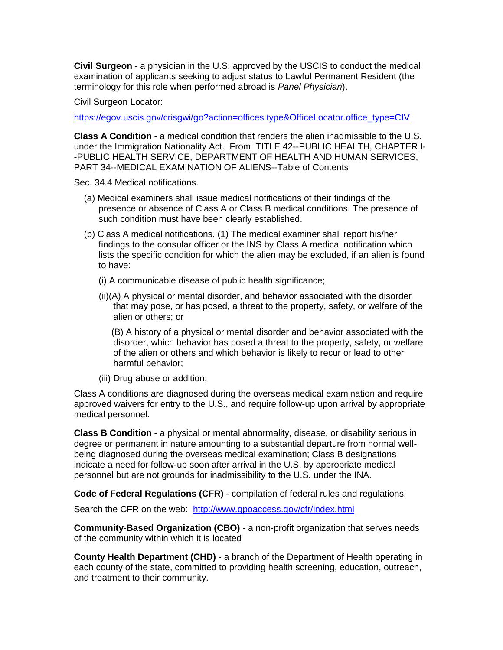**Civil Surgeon** - a physician in the U.S. approved by the USCIS to conduct the medical examination of applicants seeking to adjust status to Lawful Permanent Resident (the terminology for this role when performed abroad is *Panel Physician*).

Civil Surgeon Locator:

[https://egov.uscis.gov/crisgwi/go?action=offices.type&OfficeLocator.office\\_type=CIV](https://egov.uscis.gov/crisgwi/go?action=offices.type&OfficeLocator.office_type=CIV)

**Class A Condition** - a medical condition that renders the alien inadmissible to the U.S. under the Immigration Nationality Act. From TITLE 42--PUBLIC HEALTH, CHAPTER I- -PUBLIC HEALTH SERVICE, DEPARTMENT OF HEALTH AND HUMAN SERVICES, PART 34--MEDICAL EXAMINATION OF ALIENS--Table of Contents

Sec. 34.4 Medical notifications.

- (a) Medical examiners shall issue medical notifications of their findings of the presence or absence of Class A or Class B medical conditions. The presence of such condition must have been clearly established.
- (b) Class A medical notifications. (1) The medical examiner shall report his/her findings to the consular officer or the INS by Class A medical notification which lists the specific condition for which the alien may be excluded, if an alien is found to have:
	- (i) A communicable disease of public health significance;
	- (ii)(A) A physical or mental disorder, and behavior associated with the disorder that may pose, or has posed, a threat to the property, safety, or welfare of the alien or others; or

 (B) A history of a physical or mental disorder and behavior associated with the disorder, which behavior has posed a threat to the property, safety, or welfare of the alien or others and which behavior is likely to recur or lead to other harmful behavior;

(iii) Drug abuse or addition;

Class A conditions are diagnosed during the overseas medical examination and require approved waivers for entry to the U.S., and require follow-up upon arrival by appropriate medical personnel.

**Class B Condition** - a physical or mental abnormality, disease, or disability serious in degree or permanent in nature amounting to a substantial departure from normal wellbeing diagnosed during the overseas medical examination; Class B designations indicate a need for follow-up soon after arrival in the U.S. by appropriate medical personnel but are not grounds for inadmissibility to the U.S. under the INA.

**Code of Federal Regulations (CFR)** - compilation of federal rules and regulations.

Search the CFR on the web: <http://www.gpoaccess.gov/cfr/index.html>

**Community-Based Organization (CBO)** - a non-profit organization that serves needs of the community within which it is located

**County Health Department (CHD)** - a branch of the Department of Health operating in each county of the state, committed to providing health screening, education, outreach, and treatment to their community.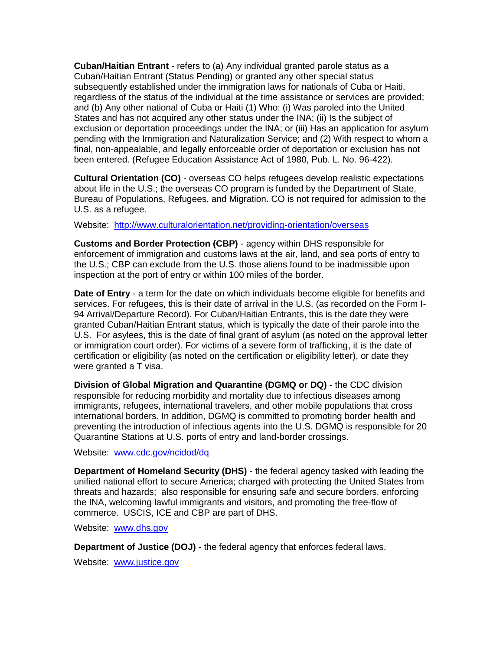**Cuban/Haitian Entrant** - refers to (a) Any individual granted parole status as a Cuban/Haitian Entrant (Status Pending) or granted any other special status subsequently established under the immigration laws for nationals of Cuba or Haiti, regardless of the status of the individual at the time assistance or services are provided; and (b) Any other national of Cuba or Haiti (1) Who: (i) Was paroled into the United States and has not acquired any other status under the INA; (ii) Is the subject of exclusion or deportation proceedings under the INA; or (iii) Has an application for asylum pending with the Immigration and Naturalization Service; and (2) With respect to whom a final, non-appealable, and legally enforceable order of deportation or exclusion has not been entered. (Refugee Education Assistance Act of 1980, Pub. L. No. 96-422).

**Cultural Orientation (CO)** - overseas CO helps refugees develop realistic expectations about life in the U.S.; the overseas CO program is funded by the Department of State, Bureau of Populations, Refugees, and Migration. CO is not required for admission to the U.S. as a refugee.

Website: <http://www.culturalorientation.net/providing-orientation/overseas>

**Customs and Border Protection (CBP)** - agency within DHS responsible for enforcement of immigration and customs laws at the air, land, and sea ports of entry to the U.S.; CBP can exclude from the U.S. those aliens found to be inadmissible upon inspection at the port of entry or within 100 miles of the border.

**Date of Entry** - a term for the date on which individuals become eligible for benefits and services. For refugees, this is their date of arrival in the U.S. (as recorded on the Form I-94 Arrival/Departure Record). For Cuban/Haitian Entrants, this is the date they were granted Cuban/Haitian Entrant status, which is typically the date of their parole into the U.S. For asylees, this is the date of final grant of asylum (as noted on the approval letter or immigration court order). For victims of a severe form of trafficking, it is the date of certification or eligibility (as noted on the certification or eligibility letter), or date they were granted a T visa.

**Division of Global Migration and Quarantine (DGMQ or DQ)** - the CDC division responsible for reducing morbidity and mortality due to infectious diseases among immigrants, refugees, international travelers, and other mobile populations that cross international borders. In addition, DGMQ is committed to promoting border health and preventing the introduction of infectious agents into the U.S. DGMQ is responsible for 20 Quarantine Stations at U.S. ports of entry and land-border crossings.

Website:[www.cdc.gov/ncidod/dq](http://www.cdc.gov/ncidod/dq)

**Department of Homeland Security (DHS)** - the federal agency tasked with leading the unified national effort to secure America; charged with protecting the United States from threats and hazards; also responsible for ensuring safe and secure borders, enforcing the INA, welcoming lawful immigrants and visitors, and promoting the free-flow of commerce. USCIS, ICE and CBP are part of DHS.

Website:[www.dhs.gov](http://www.dhs.gov/)

**Department of Justice (DOJ)** - the federal agency that enforces federal laws.

Website:[www.justice.gov](http://www.justice.gov/)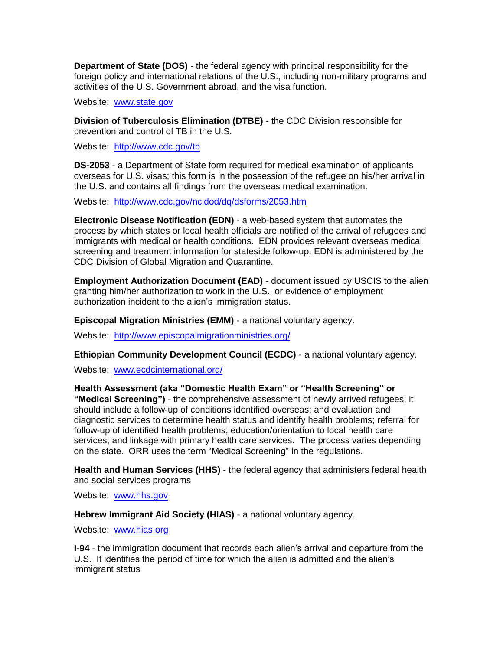**Department of State (DOS)** - the federal agency with principal responsibility for the foreign policy and international relations of the U.S., including non-military programs and activities of the U.S. Government abroad, and the visa function.

Website: [www.state.gov](http://www.state.gov/)

**Division of Tuberculosis Elimination (DTBE)** - the CDC Division responsible for prevention and control of TB in the U.S.

Website: <http://www.cdc.gov/tb>

**DS-2053** - a Department of State form required for medical examination of applicants overseas for U.S. visas; this form is in the possession of the refugee on his/her arrival in the U.S. and contains all findings from the overseas medical examination.

Website: <http://www.cdc.gov/ncidod/dq/dsforms/2053.htm>

**Electronic Disease Notification (EDN)** - a web-based system that automates the process by which states or local health officials are notified of the arrival of refugees and immigrants with medical or health conditions. EDN provides relevant overseas medical screening and treatment information for stateside follow-up; EDN is administered by the CDC Division of Global Migration and Quarantine.

**Employment Authorization Document (EAD)** - document issued by USCIS to the alien granting him/her authorization to work in the U.S., or evidence of employment authorization incident to the alien's immigration status.

**Episcopal Migration Ministries (EMM)** - a national voluntary agency.

Website: <http://www.episcopalmigrationministries.org/>

**Ethiopian Community Development Council (ECDC)** - a national voluntary agency.

Website: [www.ecdcinternational.org/](http://www.ecdcinternational.org/)

**Health Assessment (aka "Domestic Health Exam" or "Health Screening" or "Medical Screening")** - the comprehensive assessment of newly arrived refugees; it should include a follow-up of conditions identified overseas; and evaluation and diagnostic services to determine health status and identify health problems; referral for follow-up of identified health problems; education/orientation to local health care services; and linkage with primary health care services. The process varies depending on the state. ORR uses the term "Medical Screening" in the regulations.

**Health and Human Services (HHS)** - the federal agency that administers federal health and social services programs

Website: [www.hhs.gov](http://www.hhs.gov/)

**Hebrew Immigrant Aid Society (HIAS)** - a national voluntary agency.

Website: [www.hias.org](http://www.hias.org/)

**I-94** - the immigration document that records each alien's arrival and departure from the U.S. It identifies the period of time for which the alien is admitted and the alien's immigrant status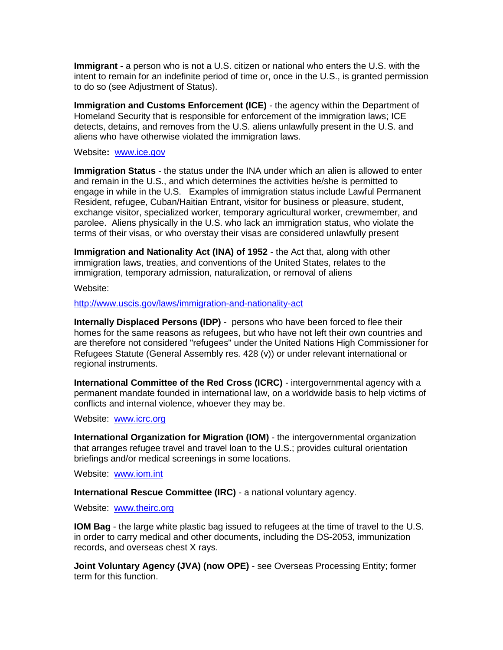**Immigrant** - a person who is not a U.S. citizen or national who enters the U.S. with the intent to remain for an indefinite period of time or, once in the U.S., is granted permission to do so (see Adjustment of Status).

**Immigration and Customs Enforcement (ICE)** - the agency within the Department of Homeland Security that is responsible for enforcement of the immigration laws; ICE detects, detains, and removes from the U.S. aliens unlawfully present in the U.S. and aliens who have otherwise violated the immigration laws.

Website**:** [www.ice.gov](http://www.ice.gov/)

**Immigration Status** - the status under the INA under which an alien is allowed to enter and remain in the U.S., and which determines the activities he/she is permitted to engage in while in the U.S. Examples of immigration status include Lawful Permanent Resident, refugee, Cuban/Haitian Entrant, visitor for business or pleasure, student, exchange visitor, specialized worker, temporary agricultural worker, crewmember, and parolee. Aliens physically in the U.S. who lack an immigration status, who violate the terms of their visas, or who overstay their visas are considered unlawfully present

**Immigration and Nationality Act (INA) of 1952** - the Act that, along with other immigration laws, treaties, and conventions of the United States, relates to the immigration, temporary admission, naturalization, or removal of aliens

Website:

<http://www.uscis.gov/laws/immigration-and-nationality-act>

**Internally Displaced Persons (IDP)** - persons who have been forced to flee their homes for the same reasons as refugees, but who have not left their own countries and are therefore not considered "refugees" under the United Nations High Commissioner for Refugees Statute (General Assembly res. 428 (v)) or under relevant international or regional instruments.

**International Committee of the Red Cross (ICRC)** - intergovernmental agency with a permanent mandate founded in international law, on a worldwide basis to help victims of conflicts and internal violence, whoever they may be.

Website: [www.icrc.org](http://www.icrc.org/)

**International Organization for Migration (IOM)** - the intergovernmental organization that arranges refugee travel and travel loan to the U.S.; provides cultural orientation briefings and/or medical screenings in some locations.

Website: [www.iom.int](http://www.iom.int/)

**International Rescue Committee (IRC)** - a national voluntary agency.

Website: [www.theirc.org](http://www.theirc.org/)

**IOM Bag** - the large white plastic bag issued to refugees at the time of travel to the U.S. in order to carry medical and other documents, including the DS-2053, immunization records, and overseas chest X rays.

**Joint Voluntary Agency (JVA) (now OPE)** - see Overseas Processing Entity; former term for this function.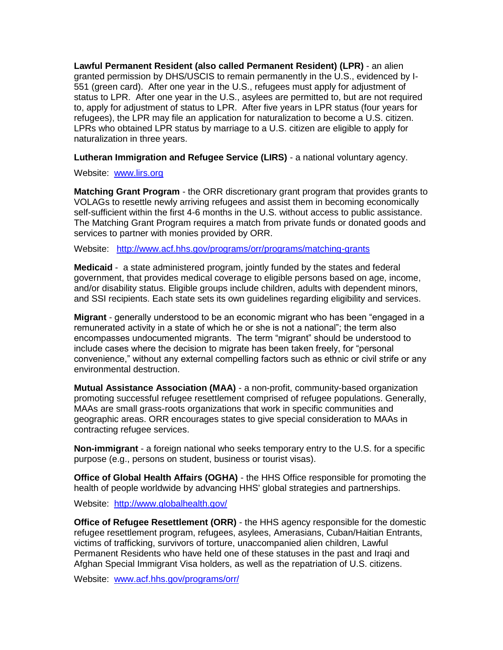**Lawful Permanent Resident (also called Permanent Resident) (LPR)** - an alien granted permission by DHS/USCIS to remain permanently in the U.S., evidenced by I-551 (green card). After one year in the U.S., refugees must apply for adjustment of status to LPR. After one year in the U.S., asylees are permitted to, but are not required to, apply for adjustment of status to LPR. After five years in LPR status (four years for refugees), the LPR may file an application for naturalization to become a U.S. citizen. LPRs who obtained LPR status by marriage to a U.S. citizen are eligible to apply for naturalization in three years.

**Lutheran Immigration and Refugee Service (LIRS)** - a national voluntary agency.

Website: [www.lirs.org](http://www.lirs.org/)

**Matching Grant Program** - the ORR discretionary grant program that provides grants to VOLAGs to resettle newly arriving refugees and assist them in becoming economically self-sufficient within the first 4-6 months in the U.S. without access to public assistance. The Matching Grant Program requires a match from private funds or donated goods and services to partner with monies provided by ORR.

Website: <http://www.acf.hhs.gov/programs/orr/programs/matching-grants>

**Medicaid** - a state administered program, jointly funded by the states and federal government, that provides medical coverage to eligible persons based on age, income, and/or disability status. Eligible groups include children, adults with dependent minors, and SSI recipients. Each state sets its own guidelines regarding eligibility and services.

**Migrant** - generally understood to be an economic migrant who has been "engaged in a remunerated activity in a state of which he or she is not a national"; the term also encompasses undocumented migrants. The term "migrant" should be understood to include cases where the decision to migrate has been taken freely, for "personal convenience," without any external compelling factors such as ethnic or civil strife or any environmental destruction.

**Mutual Assistance Association (MAA)** - a non-profit, community-based organization promoting successful refugee resettlement comprised of refugee populations. Generally, MAAs are small grass-roots organizations that work in specific communities and geographic areas. ORR encourages states to give special consideration to MAAs in contracting refugee services.

**Non-immigrant** - a foreign national who seeks temporary entry to the U.S. for a specific purpose (e.g., persons on student, business or tourist visas).

**Office of Global Health Affairs (OGHA)** - the HHS Office responsible for promoting the health of people worldwide by advancing HHS' global strategies and partnerships.

Website: <http://www.globalhealth.gov/>

**Office of Refugee Resettlement (ORR)** - the HHS agency responsible for the domestic refugee resettlement program, refugees, asylees, Amerasians, Cuban/Haitian Entrants, victims of trafficking, survivors of torture, unaccompanied alien children, Lawful Permanent Residents who have held one of these statuses in the past and Iraqi and Afghan Special Immigrant Visa holders, as well as the repatriation of U.S. citizens.

Website: [www.acf.hhs.gov/programs/orr/](http://www.acf.hhs.gov/programs/orr/)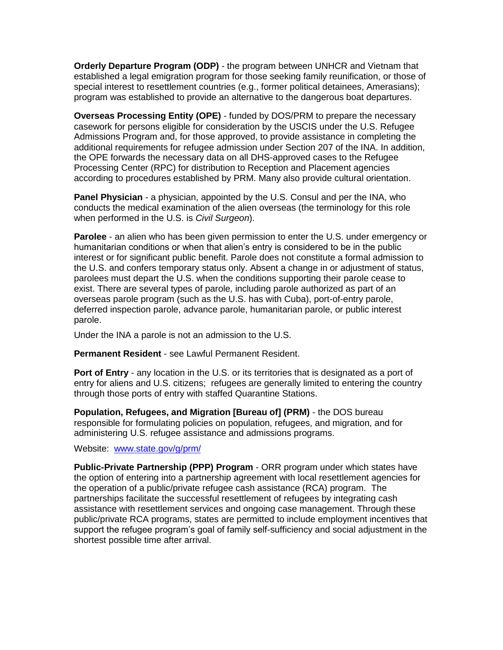**Orderly Departure Program (ODP)** - the program between UNHCR and Vietnam that established a legal emigration program for those seeking family reunification, or those of special interest to resettlement countries (e.g., former political detainees, Amerasians); program was established to provide an alternative to the dangerous boat departures.

**Overseas Processing Entity (OPE)** - funded by DOS/PRM to prepare the necessary casework for persons eligible for consideration by the USCIS under the U.S. Refugee Admissions Program and, for those approved, to provide assistance in completing the additional requirements for refugee admission under Section 207 of the INA. In addition, the OPE forwards the necessary data on all DHS-approved cases to the Refugee Processing Center (RPC) for distribution to Reception and Placement agencies according to procedures established by PRM. Many also provide cultural orientation.

**Panel Physician** - a physician, appointed by the U.S. Consul and per the INA, who conducts the medical examination of the alien overseas (the terminology for this role when performed in the U.S. is *Civil Surgeon*).

**Parolee** - an alien who has been given permission to enter the U.S. under emergency or humanitarian conditions or when that alien's entry is considered to be in the public interest or for significant public benefit. Parole does not constitute a formal admission to the U.S. and confers temporary status only. Absent a change in or adjustment of status, parolees must depart the U.S. when the conditions supporting their parole cease to exist. There are several types of parole, including parole authorized as part of an overseas parole program (such as the U.S. has with Cuba), port-of-entry parole, deferred inspection parole, advance parole, humanitarian parole, or public interest parole.

Under the INA a parole is not an admission to the U.S.

**Permanent Resident** - see Lawful Permanent Resident.

**Port of Entry** - any location in the U.S. or its territories that is designated as a port of entry for aliens and U.S. citizens; refugees are generally limited to entering the country through those ports of entry with staffed Quarantine Stations.

**Population, Refugees, and Migration [Bureau of] (PRM)** - the DOS bureau responsible for formulating policies on population, refugees, and migration, and for administering U.S. refugee assistance and admissions programs.

#### Website: [www.state.gov/g/prm/](http://www.state.gov/g/prm/)

**Public-Private Partnership (PPP) Program** - ORR program under which states have the option of entering into a partnership agreement with local resettlement agencies for the operation of a public/private refugee cash assistance (RCA) program. The partnerships facilitate the successful resettlement of refugees by integrating cash assistance with resettlement services and ongoing case management. Through these public/private RCA programs, states are permitted to include employment incentives that support the refugee program's goal of family self-sufficiency and social adjustment in the shortest possible time after arrival.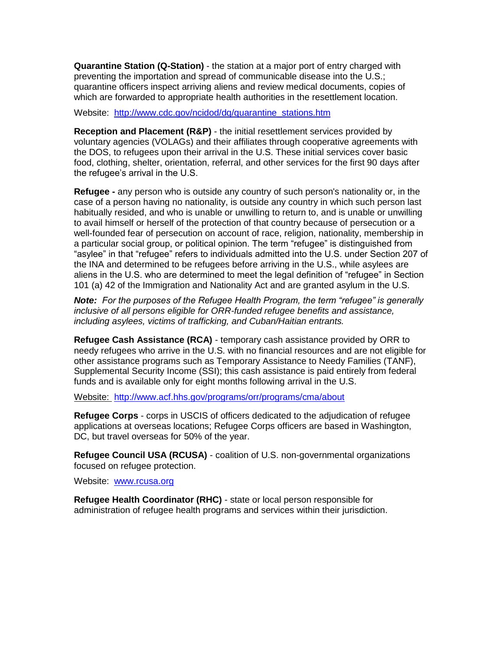**Quarantine Station (Q-Station)** - the station at a major port of entry charged with preventing the importation and spread of communicable disease into the U.S.; quarantine officers inspect arriving aliens and review medical documents, copies of which are forwarded to appropriate health authorities in the resettlement location.

Website: [http://www.cdc.gov/ncidod/dq/quarantine\\_stations.htm](http://www.cdc.gov/ncidod/dq/quarantine_stations.htm)

**Reception and Placement (R&P)** - the initial resettlement services provided by voluntary agencies (VOLAGs) and their affiliates through cooperative agreements with the DOS, to refugees upon their arrival in the U.S. These initial services cover basic food, clothing, shelter, orientation, referral, and other services for the first 90 days after the refugee's arrival in the U.S.

**Refugee -** any person who is outside any country of such person's nationality or, in the case of a person having no nationality, is outside any country in which such person last habitually resided, and who is unable or unwilling to return to, and is unable or unwilling to avail himself or herself of the protection of that country because of persecution or a well-founded fear of persecution on account of race, religion, nationality, membership in a particular social group, or political opinion. The term "refugee" is distinguished from "asylee" in that "refugee" refers to individuals admitted into the U.S. under Section 207 of the INA and determined to be refugees before arriving in the U.S., while asylees are aliens in the U.S. who are determined to meet the legal definition of "refugee" in Section 101 (a) 42 of the Immigration and Nationality Act and are granted asylum in the U.S.

*Note: For the purposes of the Refugee Health Program, the term "refugee" is generally inclusive of all persons eligible for ORR-funded refugee benefits and assistance, including asylees, victims of trafficking, and Cuban/Haitian entrants.*

**Refugee Cash Assistance (RCA)** - temporary cash assistance provided by ORR to needy refugees who arrive in the U.S. with no financial resources and are not eligible for other assistance programs such as Temporary Assistance to Needy Families (TANF), Supplemental Security Income (SSI); this cash assistance is paid entirely from federal funds and is available only for eight months following arrival in the U.S.

Website: <http://www.acf.hhs.gov/programs/orr/programs/cma/about>

**Refugee Corps** - corps in USCIS of officers dedicated to the adjudication of refugee applications at overseas locations; Refugee Corps officers are based in Washington, DC, but travel overseas for 50% of the year.

**Refugee Council USA (RCUSA)** - coalition of U.S. non-governmental organizations focused on refugee protection.

Website: [www.rcusa.org](http://www.rcusa.org/)

**Refugee Health Coordinator (RHC)** - state or local person responsible for administration of refugee health programs and services within their jurisdiction.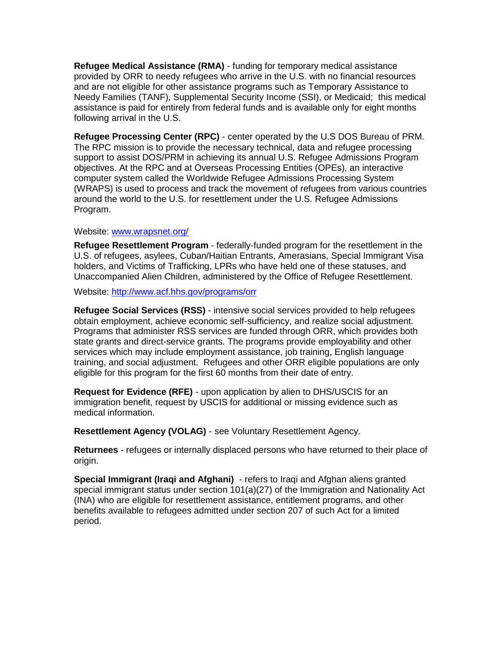**Refugee Medical Assistance (RMA)** - funding for temporary medical assistance provided by ORR to needy refugees who arrive in the U.S. with no financial resources and are not eligible for other assistance programs such as Temporary Assistance to Needy Families (TANF), Supplemental Security Income (SSI), or Medicaid; this medical assistance is paid for entirely from federal funds and is available only for eight months following arrival in the U.S.

**Refugee Processing Center (RPC)** - center operated by the U.S DOS Bureau of PRM. The RPC mission is to provide the necessary technical, data and refugee processing support to assist DOS/PRM in achieving its annual U.S. Refugee Admissions Program objectives. At the RPC and at Overseas Processing Entities (OPEs), an interactive computer system called the Worldwide Refugee Admissions Processing System (WRAPS) is used to process and track the movement of refugees from various countries around the world to the U.S. for resettlement under the U.S. Refugee Admissions Program.

#### Website: [www.wrapsnet.org/](http://www.wrapsnet.org/)

**Refugee Resettlement Program** - federally-funded program for the resettlement in the U.S. of refugees, asylees, Cuban/Haitian Entrants, Amerasians, Special Immigrant Visa holders, and Victims of Trafficking, LPRs who have held one of these statuses, and Unaccompanied Alien Children, administered by the Office of Refugee Resettlement.

Website:<http://www.acf.hhs.gov/programs/orr>

**Refugee Social Services (RSS)** - intensive social services provided to help refugees obtain employment, achieve economic self-sufficiency, and realize social adjustment. Programs that administer RSS services are funded through ORR, which provides both state grants and direct-service grants. The programs provide employability and other services which may include employment assistance, job training, English language training, and social adjustment. Refugees and other ORR eligible populations are only eligible for this program for the first 60 months from their date of entry.

**Request for Evidence (RFE)** - upon application by alien to DHS/USCIS for an immigration benefit, request by USCIS for additional or missing evidence such as medical information.

**Resettlement Agency (VOLAG)** - see Voluntary Resettlement Agency.

**Returnees** - refugees or internally displaced persons who have returned to their place of origin.

**Special Immigrant (Iraqi and Afghani)** - refers to Iraqi and Afghan aliens granted special immigrant status under section 101(a)(27) of the Immigration and Nationality Act (INA) who are eligible for resettlement assistance, entitlement programs, and other benefits available to refugees admitted under section 207 of such Act for a limited period.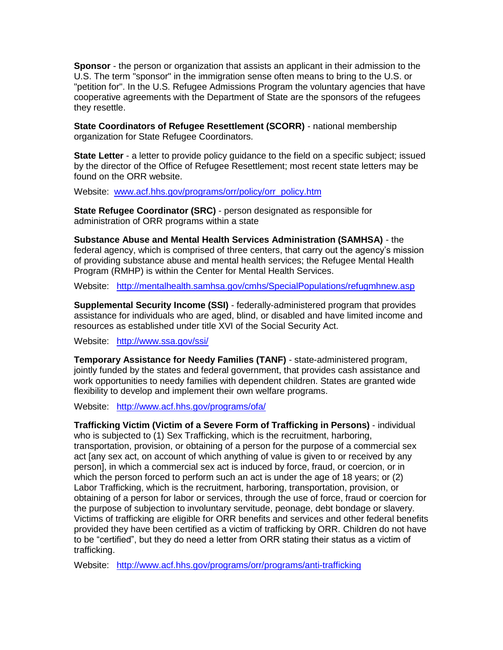**Sponsor** - the person or organization that assists an applicant in their admission to the U.S. The term "sponsor" in the immigration sense often means to bring to the U.S. or "petition for". In the U.S. Refugee Admissions Program the voluntary agencies that have cooperative agreements with the Department of State are the sponsors of the refugees they resettle.

**State Coordinators of Refugee Resettlement (SCORR)** - national membership organization for State Refugee Coordinators.

**State Letter** - a letter to provide policy guidance to the field on a specific subject; issued by the director of the Office of Refugee Resettlement; most recent state letters may be found on the ORR website.

Website: [www.acf.hhs.gov/programs/orr/policy/orr\\_policy.htm](http://www.acf.hhs.gov/programs/orr/policy/orr_policy.htm)

**State Refugee Coordinator (SRC)** - person designated as responsible for administration of ORR programs within a state

**Substance Abuse and Mental Health Services Administration (SAMHSA)** - the federal agency, which is comprised of three centers, that carry out the agency's mission of providing substance abuse and mental health services; the Refugee Mental Health Program (RMHP) is within the Center for Mental Health Services.

Website: <http://mentalhealth.samhsa.gov/cmhs/SpecialPopulations/refugmhnew.asp>

**Supplemental Security Income (SSI)** - federally-administered program that provides assistance for individuals who are aged, blind, or disabled and have limited income and resources as established under title XVI of the Social Security Act.

Website: <http://www.ssa.gov/ssi/>

**Temporary Assistance for Needy Families (TANF)** - state-administered program, jointly funded by the states and federal government, that provides cash assistance and work opportunities to needy families with dependent children. States are granted wide flexibility to develop and implement their own welfare programs.

Website: <http://www.acf.hhs.gov/programs/ofa/>

**Trafficking Victim (Victim of a Severe Form of Trafficking in Persons)** - individual who is subjected to (1) Sex Trafficking, which is the recruitment, harboring, transportation, provision, or obtaining of a person for the purpose of a commercial sex act [any sex act, on account of which anything of value is given to or received by any person], in which a commercial sex act is induced by force, fraud, or coercion, or in which the person forced to perform such an act is under the age of 18 years; or (2) Labor Trafficking, which is the recruitment, harboring, transportation, provision, or obtaining of a person for labor or services, through the use of force, fraud or coercion for the purpose of subjection to involuntary servitude, peonage, debt bondage or slavery. Victims of trafficking are eligible for ORR benefits and services and other federal benefits provided they have been certified as a victim of trafficking by ORR. Children do not have to be "certified", but they do need a letter from ORR stating their status as a victim of trafficking.

Website: <http://www.acf.hhs.gov/programs/orr/programs/anti-trafficking>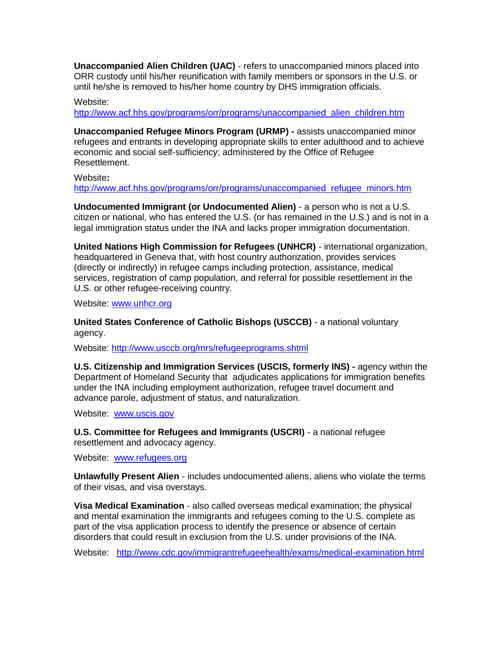**Unaccompanied Alien Children (UAC)** - refers to unaccompanied minors placed into ORR custody until his/her reunification with family members or sponsors in the U.S. or until he/she is removed to his/her home country by DHS immigration officials.

#### Website:

[http://www.acf.hhs.gov/programs/orr/programs/unaccompanied\\_alien\\_children.htm](http://www.acf.hhs.gov/programs/orr/programs/unaccompanied_alien_children.htm)

**Unaccompanied Refugee Minors Program (URMP) -** assists unaccompanied minor refugees and entrants in developing appropriate skills to enter adulthood and to achieve economic and social self-sufficiency; administered by the Office of Refugee Resettlement.

Website**:** 

[http://www.acf.hhs.gov/programs/orr/programs/unaccompanied\\_refugee\\_minors.htm](http://www.acf.hhs.gov/programs/orr/programs/unaccompanied_refugee_minors.htm)

**Undocumented Immigrant (or Undocumented Alien)** - a person who is not a U.S. citizen or national, who has entered the U.S. (or has remained in the U.S.) and is not in a legal immigration status under the INA and lacks proper immigration documentation.

**United Nations High Commission for Refugees (UNHCR)** - international organization, headquartered in Geneva that, with host country authorization, provides services (directly or indirectly) in refugee camps including protection, assistance, medical services, registration of camp population, and referral for possible resettlement in the U.S. or other refugee-receiving country.

Website: [www.unhcr.org](http://www.unhcr.org/)

**United States Conference of Catholic Bishops (USCCB)** - a national voluntary agency.

Website:<http://www.usccb.org/mrs/refugeeprograms.shtml>

**U.S. Citizenship and Immigration Services (USCIS, formerly INS) -** agency within the Department of Homeland Security that adjudicates applications for immigration benefits under the INA including employment authorization, refugee travel document and advance parole, adjustment of status, and naturalization.

Website:[www.uscis.gov](http://www.uscis.gov/)

**U.S. Committee for Refugees and Immigrants (USCRI)** - a national refugee resettlement and advocacy agency.

Website: [www.refugees.org](http://www.refugees.org/)

**Unlawfully Present Alien** - includes undocumented aliens, aliens who violate the terms of their visas, and visa overstays.

**Visa Medical Examination** - also called overseas medical examination; the physical and mental examination the immigrants and refugees coming to the U.S. complete as part of the visa application process to identify the presence or absence of certain disorders that could result in exclusion from the U.S. under provisions of the INA.

Website: <http://www.cdc.gov/immigrantrefugeehealth/exams/medical-examination.html>